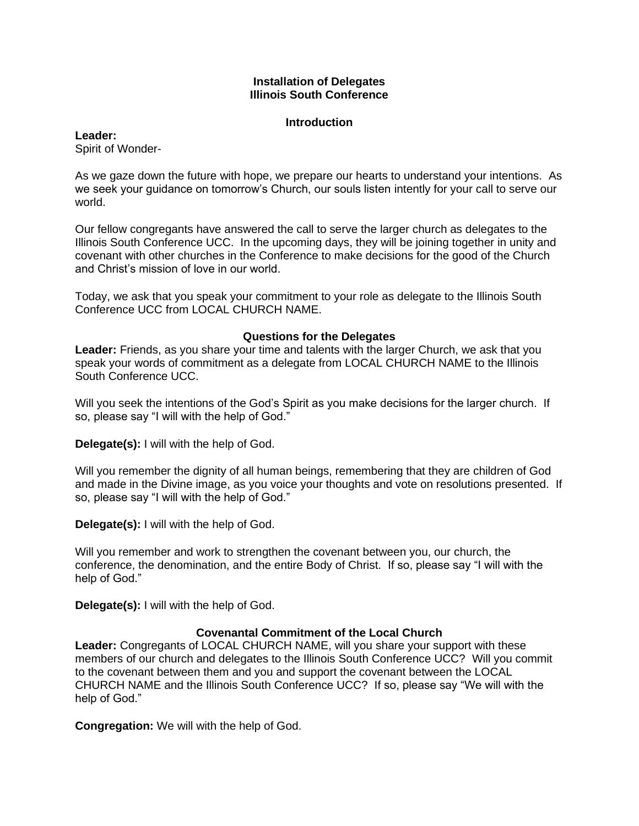### **Installation of Delegates Illinois South Conference**

#### **Introduction**

### **Leader:**

Spirit of Wonder-

As we gaze down the future with hope, we prepare our hearts to understand your intentions. As we seek your guidance on tomorrow's Church, our souls listen intently for your call to serve our world.

Our fellow congregants have answered the call to serve the larger church as delegates to the Illinois South Conference UCC. In the upcoming days, they will be joining together in unity and covenant with other churches in the Conference to make decisions for the good of the Church and Christ's mission of love in our world.

Today, we ask that you speak your commitment to your role as delegate to the Illinois South Conference UCC from LOCAL CHURCH NAME.

## **Questions for the Delegates**

**Leader:** Friends, as you share your time and talents with the larger Church, we ask that you speak your words of commitment as a delegate from LOCAL CHURCH NAME to the Illinois South Conference UCC.

Will you seek the intentions of the God's Spirit as you make decisions for the larger church. If so, please say "I will with the help of God."

**Delegate(s):** I will with the help of God.

Will you remember the dignity of all human beings, remembering that they are children of God and made in the Divine image, as you voice your thoughts and vote on resolutions presented. If so, please say "I will with the help of God."

**Delegate(s):** I will with the help of God.

Will you remember and work to strengthen the covenant between you, our church, the conference, the denomination, and the entire Body of Christ. If so, please say "I will with the help of God."

**Delegate(s):** I will with the help of God.

# **Covenantal Commitment of the Local Church**

**Leader:** Congregants of LOCAL CHURCH NAME, will you share your support with these members of our church and delegates to the Illinois South Conference UCC? Will you commit to the covenant between them and you and support the covenant between the LOCAL CHURCH NAME and the Illinois South Conference UCC? If so, please say "We will with the help of God."

**Congregation:** We will with the help of God.